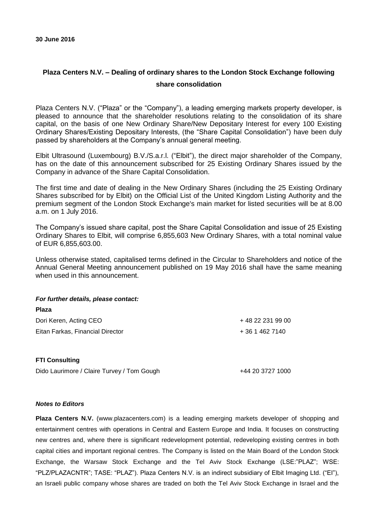## **Plaza Centers N.V. – Dealing of ordinary shares to the London Stock Exchange following share consolidation**

Plaza Centers N.V. ("Plaza" or the "Company"), a leading emerging markets property developer, is pleased to announce that the shareholder resolutions relating to the consolidation of its share capital, on the basis of one New Ordinary Share/New Depositary Interest for every 100 Existing Ordinary Shares/Existing Depositary Interests, (the "Share Capital Consolidation") have been duly passed by shareholders at the Company's annual general meeting.

Elbit Ultrasound (Luxembourg) B.V./S.a.r.l. ("Elbit"), the direct major shareholder of the Company, has on the date of this announcement subscribed for 25 Existing Ordinary Shares issued by the Company in advance of the Share Capital Consolidation.

The first time and date of dealing in the New Ordinary Shares (including the 25 Existing Ordinary Shares subscribed for by Elbit) on the Official List of the United Kingdom Listing Authority and the premium segment of the London Stock Exchange's main market for listed securities will be at 8.00 a.m. on 1 July 2016.

The Company's issued share capital, post the Share Capital Consolidation and issue of 25 Existing Ordinary Shares to Elbit, will comprise 6,855,603 New Ordinary Shares, with a total nominal value of EUR 6,855,603.00.

Unless otherwise stated, capitalised terms defined in the Circular to Shareholders and notice of the Annual General Meeting announcement published on 19 May 2016 shall have the same meaning when used in this announcement.

## *For further details, please contact:*

| .                                |                   |
|----------------------------------|-------------------|
| Dori Keren, Acting CEO           | + 48 22 231 99 00 |
| Eitan Farkas, Financial Director | + 36 1 462 7140   |

## **FTI Consulting**

**Plaza**

Dido Laurimore / Claire Turvey / Tom Gough +44 20 3727 1000

## *Notes to Editors*

**Plaza Centers N.V.** (www.plazacenters.com) is a leading emerging markets developer of shopping and entertainment centres with operations in Central and Eastern Europe and India. It focuses on constructing new centres and, where there is significant redevelopment potential, redeveloping existing centres in both capital cities and important regional centres. The Company is listed on the Main Board of the London Stock Exchange, the Warsaw Stock Exchange and the Tel Aviv Stock Exchange (LSE:"PLAZ"; WSE: "PLZ/PLAZACNTR"; TASE: "PLAZ"). Plaza Centers N.V. is an indirect subsidiary of Elbit Imaging Ltd. ("EI"), an Israeli public company whose shares are traded on both the Tel Aviv Stock Exchange in Israel and the